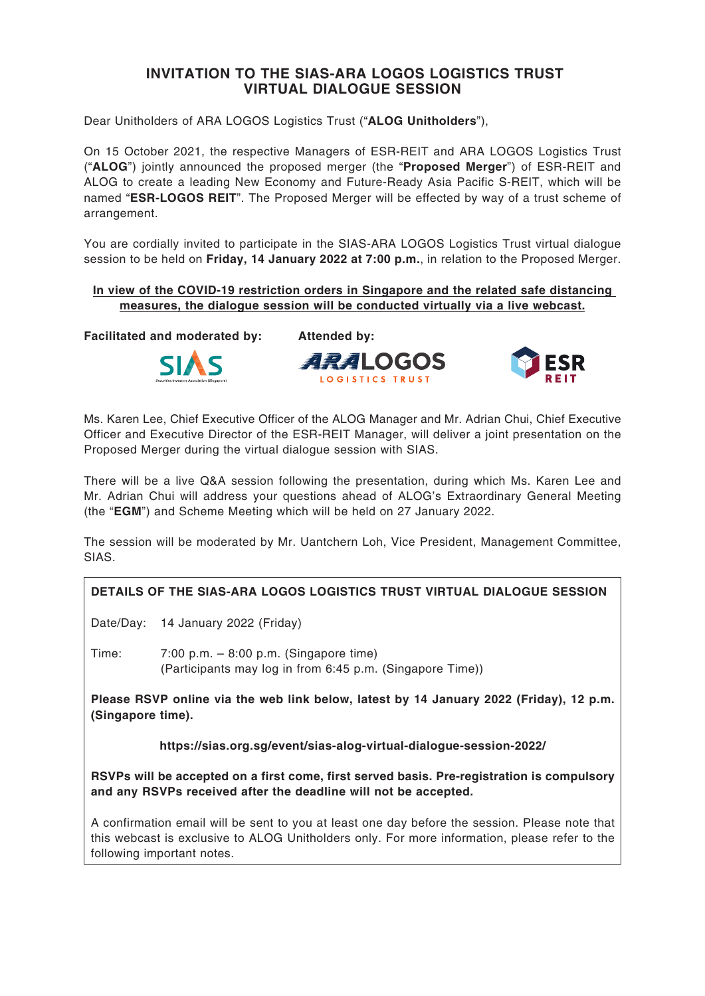## **INVITATION TO THE SIAS-ARA LOGOS LOGISTICS TRUST VIRTUAL DIALOGUE SESSION**

Dear Unitholders of ARA LOGOS Logistics Trust ("**ALOG Unitholders**"),

On 15 October 2021, the respective Managers of ESR-REIT and ARA LOGOS Logistics Trust ("**ALOG**") jointly announced the proposed merger (the "**Proposed Merger**") of ESR-REIT and ALOG to create a leading New Economy and Future-Ready Asia Pacific S-REIT, which will be named "**ESR-LOGOS REIT**". The Proposed Merger will be effected by way of a trust scheme of arrangement.

You are cordially invited to participate in the SIAS-ARA LOGOS Logistics Trust virtual dialogue session to be held on **Friday, 14 January 2022 at 7:00 p.m.**, in relation to the Proposed Merger.

## **In view of the COVID-19 restriction orders in Singapore and the related safe distancing measures, the dialogue session will be conducted virtually via a live webcast.**

**Facilitated and moderated by: Attended by:**







Ms. Karen Lee, Chief Executive Officer of the ALOG Manager and Mr. Adrian Chui, Chief Executive Officer and Executive Director of the ESR-REIT Manager, will deliver a joint presentation on the Proposed Merger during the virtual dialogue session with SIAS.

There will be a live Q&A session following the presentation, during which Ms. Karen Lee and Mr. Adrian Chui will address your questions ahead of ALOG's Extraordinary General Meeting (the "**EGM**") and Scheme Meeting which will be held on 27 January 2022.

The session will be moderated by Mr. Uantchern Loh, Vice President, Management Committee, SIAS.

## **DETAILS OF THE SIAS-ARA LOGOS LOGISTICS TRUST VIRTUAL DIALOGUE SESSION**

Date/Day: 14 January 2022 (Friday)

Time: 7:00 p.m. – 8:00 p.m. (Singapore time) (Participants may log in from 6:45 p.m. (Singapore Time))

**Please RSVP online via the web link below, latest by 14 January 2022 (Friday), 12 p.m. (Singapore time).**

**https://sias.org.sg/event/sias-alog-virtual-dialogue-session-2022/**

**RSVPs will be accepted on a first come, first served basis. Pre-registration is compulsory and any RSVPs received after the deadline will not be accepted.**

A confirmation email will be sent to you at least one day before the session. Please note that this webcast is exclusive to ALOG Unitholders only. For more information, please refer to the following important notes.